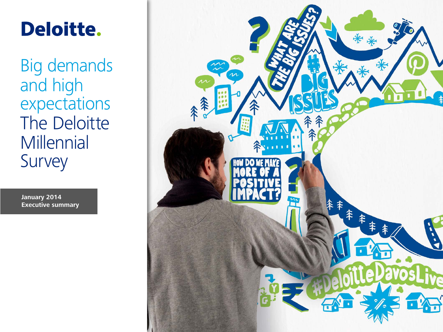# Deloitte.

Big demands and high expectations The Deloitte **Millennial** Survey

**January 2014 Executive summary**

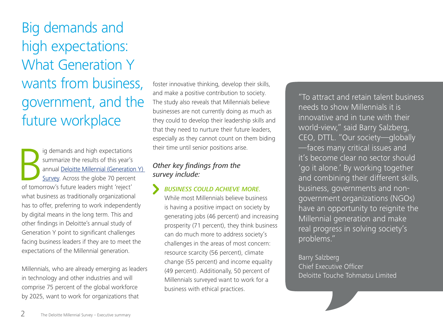Big demands and high expectations: What Generation Y wants from business, government, and the future workplace

Ig demands and high expectations<br>
summarize the results of this year's<br>
annual <u>Deloitte Millennial (Generation</u><br>
<u>Survey</u>. Across the globe 70 percen<br>
of tomorrow's future leaders might 'reject' ig demands and high expectations summarize the results of this year's annual [Deloitte Millennial \(Generation Y\)](http://www.deloitte.com/MillennialSurvey)  [Survey.](http://www.deloitte.com/MillennialSurvey) Across the globe 70 percent what business as traditionally organizational has to offer, preferring to work independently by digital means in the long term. This and other findings in Deloitte's annual study of Generation Y point to significant challenges facing business leaders if they are to meet the expectations of the Millennial generation.

Millennials, who are already emerging as leaders in technology and other industries and will comprise 75 percent of the global workforce by 2025, want to work for organizations that

foster innovative thinking, develop their skills, and make a positive contribution to society. The study also reveals that Millennials believe businesses are not currently doing as much as they could to develop their leadership skills and that they need to nurture their future leaders, especially as they cannot count on them biding their time until senior positions arise.

## *Other key findings from the survey include:*

## *BUSINESS COULD ACHIEVE MORE.*

While most Millennials believe business is having a positive impact on society by generating jobs (46 percent) and increasing prosperity (71 percent), they think business can do much more to address society's challenges in the areas of most concern: resource scarcity (56 percent), climate change (55 percent) and income equality (49 percent). Additionally, 50 percent of Millennials surveyed want to work for a business with ethical practices.

"To attract and retain talent business needs to show Millennials it is innovative and in tune with their world-view," said Barry Salzberg, CEO, DTTL. "Our society—globally —faces many critical issues and it's become clear no sector should 'go it alone.' By working together and combining their different skills, business, governments and nongovernment organizations (NGOs) have an opportunity to reignite the Millennial generation and make real progress in solving society's problems."

## Barry Salzberg

Chief Executive Officer Deloitte Touche Tohmatsu Limited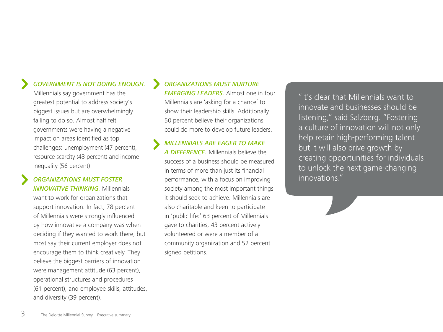## *GOVERNMENT IS NOT DOING ENOUGH.*

Millennials say government has the greatest potential to address society's biggest issues but are overwhelmingly failing to do so. Almost half felt governments were having a negative impact on areas identified as top challenges: unemployment (47 percent), resource scarcity (43 percent) and income inequality (56 percent).

#### *ORGANIZATIONS MUST FOSTER*

*INNOVATIVE THINKING.* Millennials want to work for organizations that support innovation. In fact, 78 percent of Millennials were strongly influenced by how innovative a company was when deciding if they wanted to work there, but most say their current employer does not encourage them to think creatively. They believe the biggest barriers of innovation were management attitude (63 percent), operational structures and procedures (61 percent), and employee skills, attitudes, and diversity (39 percent).

## *ORGANIZATIONS MUST NURTURE*

*EMERGING LEADERS.* Almost one in four Millennials are 'asking for a chance' to show their leadership skills. Additionally, 50 percent believe their organizations could do more to develop future leaders.

*MILLENNIALS ARE EAGER TO MAKE A DIFFERENCE.* Millennials believe the success of a business should be measured in terms of more than just its financial performance, with a focus on improving society among the most important things it should seek to achieve. Millennials are also charitable and keen to participate in 'public life:' 63 percent of Millennials gave to charities, 43 percent actively volunteered or were a member of a community organization and 52 percent signed petitions.

"It's clear that Millennials want to innovate and businesses should be listening," said Salzberg. "Fostering a culture of innovation will not only help retain high-performing talent but it will also drive growth by creating opportunities for individuals to unlock the next game-changing innovations."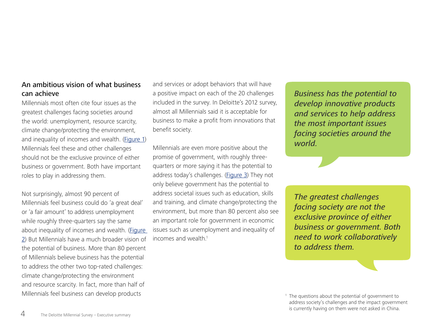### An ambitious vision of what business can achieve

Millennials most often cite four issues as the greatest challenges facing societies around the world: unemployment, resource scarcity, climate change/protecting the environment, and inequality of incomes and wealth. [\(Figure 1\)](#page-9-0) Millennials feel these and other challenges should not be the exclusive province of either business or government. Both have important roles to play in addressing them.

Not surprisingly, almost 90 percent of Millennials feel business could do 'a great deal' or 'a fair amount' to address unemployment while roughly three-quarters say the same about inequality of incomes and wealth. (Figure [2\)](#page-10-0) But Millennials have a much broader vision of the potential of business. More than 80 percent of Millennials believe business has the potential to address the other two top-rated challenges: climate change/protecting the environment and resource scarcity. In fact, more than half of Millennials feel business can develop products

and services or adopt behaviors that will have a positive impact on each of the 20 challenges included in the survey. In Deloitte's 2012 survey, almost all Millennials said it is acceptable for business to make a profit from innovations that benefit society.

Millennials are even more positive about the promise of government, with roughly threequarters or more saying it has the potential to address today's challenges. [\(Figure 3](#page-11-0)) They not only believe government has the potential to address societal issues such as education, skills and training, and climate change/protecting the environment, but more than 80 percent also see an important role for government in economic issues such as unemployment and inequality of incomes and wealth.<sup>1</sup>

*Business has the potential to develop innovative products and services to help address the most important issues facing societies around the world.* 

*The greatest challenges facing society are not the exclusive province of either business or government. Both need to work collaboratively to address them.*

<sup>1</sup> The questions about the potential of government to address society's challenges and the impact government is currently having on them were not asked in China.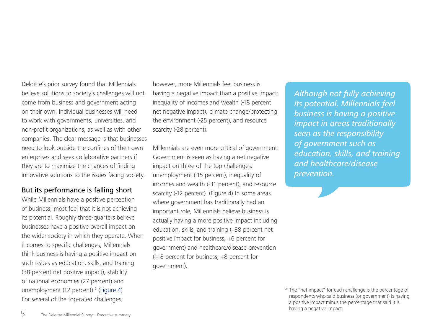Deloitte's prior survey found that Millennials believe solutions to society's challenges will not come from business and government acting on their own. Individual businesses will need to work with governments, universities, and non-profit organizations, as well as with other companies. The clear message is that businesses need to look outside the confines of their own enterprises and seek collaborative partners if they are to maximize the chances of finding innovative solutions to the issues facing society.

#### But its performance is falling short

While Millennials have a positive perception of business, most feel that it is not achieving its potential. Roughly three-quarters believe businesses have a positive overall impact on the wider society in which they operate. When it comes to specific challenges, Millennials think business is having a positive impact on such issues as education, skills, and training (38 percent net positive impact), stability of national economies (27 percent) and unemployment (12 percent).<sup>2</sup> [\(Figure 4\)](#page-12-0) For several of the top-rated challenges,

however, more Millennials feel business is having a negative impact than a positive impact: inequality of incomes and wealth (-18 percent net negative impact), climate change/protecting the environment (-25 percent), and resource scarcity (-28 percent).

Millennials are even more critical of government. Government is seen as having a net negative impact on three of the top challenges: unemployment (-15 percent), inequality of incomes and wealth (-31 percent), and resource scarcity (-12 percent). (Figure 4) In some areas where government has traditionally had an important role, Millennials believe business is actually having a more positive impact including education, skills, and training (+38 percent net positive impact for business; +6 percent for government) and healthcare/disease prevention (+18 percent for business; +8 percent for government).

*Although not fully achieving its potential, Millennials feel business is having a positive impact in areas traditionally seen as the responsibility of government such as education, skills, and training and healthcare/disease prevention.*

<sup>2</sup> The "net impact" for each challenge is the percentage of respondents who said business (or government) is having a positive impact minus the percentage that said it is having a negative impact.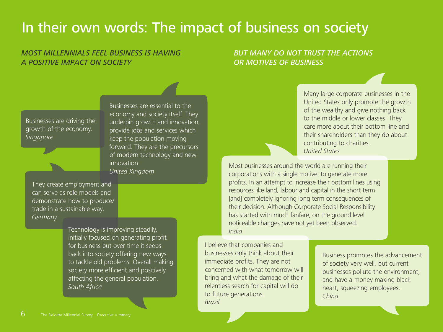## In their own words: The impact of business on society

## *MOST MILLENNIALS FEEL BUSINESS IS HAVING A POSITIVE IMPACT ON SOCIETY*

#### *BUT MANY DO NOT TRUST THE ACTIONS OR MOTIVES OF BUSINESS*

Businesses are driving the growth of the economy. *Singapore*

Businesses are essential to the economy and society itself. They underpin growth and innovation, provide jobs and services which keep the population moving forward. They are the precursors of modern technology and new innovation. *United Kingdom*

They create employment and can serve as role models and demonstrate how to produce/ trade in a sustainable way. *Germany*

> Technology is improving steadily, initially focused on generating profit for business but over time it seeps back into society offering new ways to tackle old problems. Overall making society more efficient and positively affecting the general population. *South Africa*

Many large corporate businesses in the United States only promote the growth of the wealthy and give nothing back to the middle or lower classes. They care more about their bottom line and their shareholders than they do about contributing to charities. *United States*

Most businesses around the world are running their corporations with a single motive: to generate more profits. In an attempt to increase their bottom lines using resources like land, labour and capital in the short term [and] completely ignoring long term consequences of their decision. Although Corporate Social Responsibility has started with much fanfare, on the ground level noticeable changes have not yet been observed. *India*

I believe that companies and businesses only think about their immediate profits. They are not concerned with what tomorrow will bring and what the damage of their relentless search for capital will do to future generations. *Brazil*

Business promotes the advancement of society very well, but current businesses pollute the environment, and have a money making black heart, squeezing employees. *China*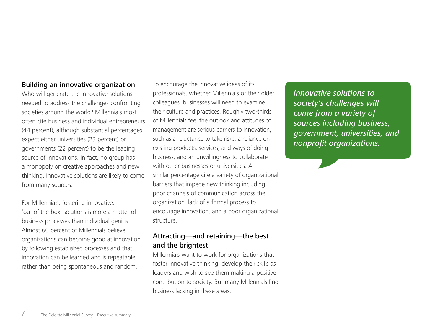#### Building an innovative organization

Who will generate the innovative solutions needed to address the challenges confronting societies around the world? Millennials most often cite business and individual entrepreneurs (44 percent), although substantial percentages expect either universities (23 percent) or governments (22 percent) to be the leading source of innovations. In fact, no group has a monopoly on creative approaches and new thinking. Innovative solutions are likely to come from many sources.

For Millennials, fostering innovative, 'out-of-the-box' solutions is more a matter of business processes than individual genius. Almost 60 percent of Millennials believe organizations can become good at innovation by following established processes and that innovation can be learned and is repeatable, rather than being spontaneous and random.

To encourage the innovative ideas of its professionals, whether Millennials or their older colleagues, businesses will need to examine their culture and practices. Roughly two-thirds of Millennials feel the outlook and attitudes of management are serious barriers to innovation, such as a reluctance to take risks; a reliance on existing products, services, and ways of doing business; and an unwillingness to collaborate with other businesses or universities. A similar percentage cite a variety of organizational barriers that impede new thinking including poor channels of communication across the organization, lack of a formal process to encourage innovation, and a poor organizational structure.

#### Attracting—and retaining—the best and the brightest

Millennials want to work for organizations that foster innovative thinking, develop their skills as leaders and wish to see them making a positive contribution to society. But many Millennials find business lacking in these areas.

*Innovative solutions to society's challenges will come from a variety of sources including business, government, universities, and nonprofit organizations.*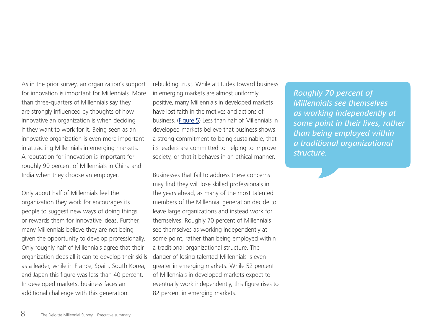As in the prior survey, an organization's support for innovation is important for Millennials. More than three-quarters of Millennials say they are strongly influenced by thoughts of how innovative an organization is when deciding if they want to work for it. Being seen as an innovative organization is even more important in attracting Millennials in emerging markets. A reputation for innovation is important for roughly 90 percent of Millennials in China and India when they choose an employer.

Only about half of Millennials feel the organization they work for encourages its people to suggest new ways of doing things or rewards them for innovative ideas. Further, many Millennials believe they are not being given the opportunity to develop professionally. Only roughly half of Millennials agree that their organization does all it can to develop their skills as a leader, while in France, Spain, South Korea, and Japan this figure was less than 40 percent. In developed markets, business faces an additional challenge with this generation:

rebuilding trust. While attitudes toward business in emerging markets are almost uniformly positive, many Millennials in developed markets have lost faith in the motives and actions of business. [\(Figure 5](#page-13-0)) Less than half of Millennials in developed markets believe that business shows a strong commitment to being sustainable, that its leaders are committed to helping to improve society, or that it behaves in an ethical manner.

Businesses that fail to address these concerns may find they will lose skilled professionals in the years ahead, as many of the most talented members of the Millennial generation decide to leave large organizations and instead work for themselves. Roughly 70 percent of Millennials see themselves as working independently at some point, rather than being employed within a traditional organizational structure. The danger of losing talented Millennials is even greater in emerging markets. While 52 percent of Millennials in developed markets expect to eventually work independently, this figure rises to 82 percent in emerging markets.

*Roughly 70 percent of Millennials see themselves as working independently at some point in their lives, rather than being employed within a traditional organizational structure.*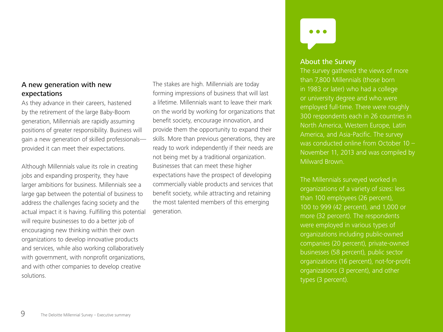### A new generation with new expectations

As they advance in their careers, hastened by the retirement of the large Baby-Boom generation, Millennials are rapidly assuming positions of greater responsibility. Business will gain a new generation of skilled professionals provided it can meet their expectations.

Although Millennials value its role in creating jobs and expanding prosperity, they have larger ambitions for business. Millennials see a large gap between the potential of business to address the challenges facing society and the actual impact it is having. Fulfilling this potential will require businesses to do a better job of encouraging new thinking within their own organizations to develop innovative products and services, while also working collaboratively with government, with nonprofit organizations, and with other companies to develop creative solutions.

The stakes are high. Millennials are today forming impressions of business that will last a lifetime. Millennials want to leave their mark on the world by working for organizations that benefit society, encourage innovation, and provide them the opportunity to expand their skills. More than previous generations, they are ready to work independently if their needs are not being met by a traditional organization. Businesses that can meet these higher expectations have the prospect of developing commercially viable products and services that benefit society, while attracting and retaining the most talented members of this emerging generation.



#### About the Survey

The survey gathered the views of more than 7,800 Millennials (those born in 1983 or later) who had a college or university degree and who were employed full-time. There were roughly 300 respondents each in 26 countries in North America, Western Europe, Latin America, and Asia-Pacific. The survey was conducted online from October 10 – November 11, 2013 and was compiled by Milward Brown.

The Millennials surveyed worked in organizations of a variety of sizes: less than 100 employees (26 percent), 100 to 999 (42 percent), and 1,000 or more (32 percent). The respondents were employed in various types of organizations including public-owned companies (20 percent), private-owned businesses (58 percent), public sector organizations (16 percent), not-for-profit organizations (3 percent), and other types (3 percent).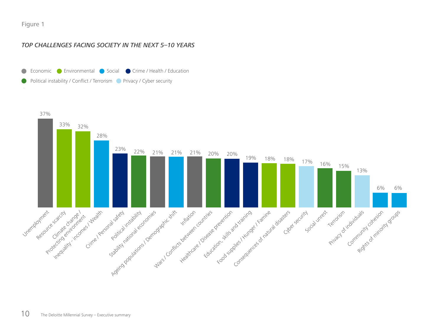#### <span id="page-9-0"></span>Figure 1

#### *TOP CHALLENGES FACING SOCIETY IN THE NEXT 5–10 YEARS*



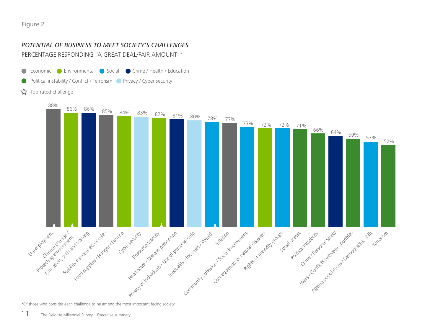#### <span id="page-10-0"></span>*POTENTIAL OF BUSINESS TO MEET SOCIETY'S CHALLENGES*

PERCENTAGE RESPONDING "A GREAT DEAL/FAIR AMOUNT"\*

- Economic Crime / Health / Education  $\bullet$
- Political instability / Conflict / Terrorism Privacy / Cyber security
- ☆ Top-rated challenge



\*Of those who consider each challenge to be among the most important facing society.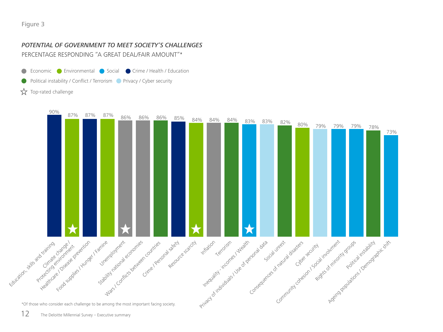## <span id="page-11-0"></span>*POTENTIAL OF GOVERNMENT TO MEET SOCIETY'S CHALLENGES*

PERCENTAGE RESPONDING "A GREAT DEAL/FAIR AMOUNT"\*

- Economic Crime / Health / Education  $\bullet$
- Political instability / Conflict / Terrorism Privacy / Cyber security

☆ Top-rated challenge

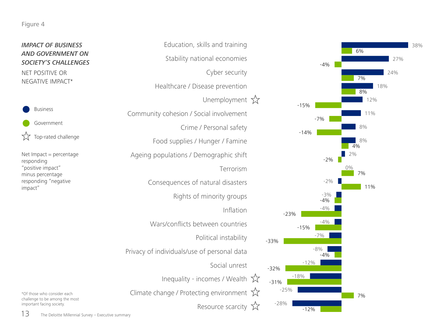#### <span id="page-12-0"></span>Figure 4

#### *IMPACT OF BUSINESS AND GOVERNMENT ON SOCIETY'S CHALLENGES*

NET POSITIVE OR NEGATIVE IMPACT\*



Net Impact = percentage responding "positive impact" minus percentage responding "negative impact"

\*Of those who consider each challenge to be among the most

important facing society.





 $13$  The Deloitte Millennial Survey – Executive summary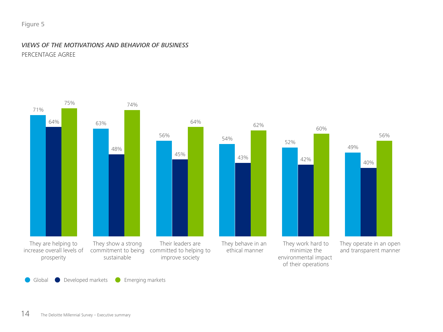#### <span id="page-13-0"></span>Figure 5

#### *VIEWS OF THE MOTIVATIONS AND BEHAVIOR OF BUSINESS* PERCENTAGE AGREE



56%